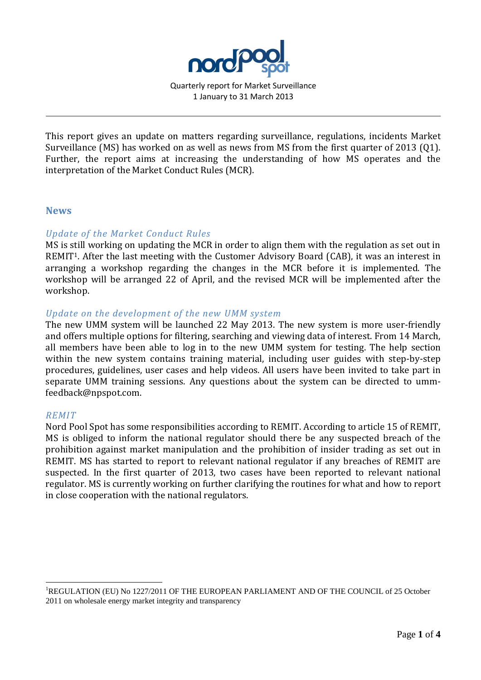

Quarterly report for Market Surveillance 1 January to 31 March 2013

This report gives an update on matters regarding surveillance, regulations, incidents Market Surveillance (MS) has worked on as well as news from MS from the first quarter of 2013 (Q1). Further, the report aims at increasing the understanding of how MS operates and the interpretation of the Market Conduct Rules (MCR).

### **News**

# *Update of the Market Conduct Rules*

MS is still working on updating the MCR in order to align them with the regulation as set out in REMIT1. After the last meeting with the Customer Advisory Board (CAB), it was an interest in arranging a workshop regarding the changes in the MCR before it is implemented. The workshop will be arranged 22 of April, and the revised MCR will be implemented after the workshop.

### *Update on the development of the new UMM system*

The new UMM system will be launched 22 May 2013. The new system is more user-friendly and offers multiple options for filtering, searching and viewing data of interest. From 14 March, all members have been able to log in to the new UMM system for testing. The help section within the new system contains training material, including user guides with step-by-step procedures, guidelines, user cases and help videos. All users have been invited to take part in separate UMM training sessions. Any questions about the system can be directed to ummfeedback@npspot.com.

#### *REMIT*

<u>.</u>

Nord Pool Spot has some responsibilities according to REMIT. According to article 15 of REMIT, MS is obliged to inform the national regulator should there be any suspected breach of the prohibition against market manipulation and the prohibition of insider trading as set out in REMIT. MS has started to report to relevant national regulator if any breaches of REMIT are suspected. In the first quarter of 2013, two cases have been reported to relevant national regulator. MS is currently working on further clarifying the routines for what and how to report in close cooperation with the national regulators.

<sup>1</sup>REGULATION (EU) No 1227/2011 OF THE EUROPEAN PARLIAMENT AND OF THE COUNCIL of 25 October 2011 on wholesale energy market integrity and transparency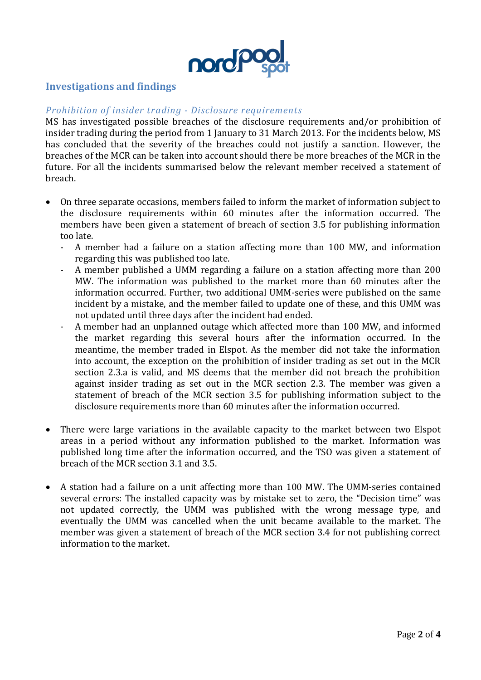

# **Investigations and findings**

# *Prohibition of insider trading - Disclosure requirements*

MS has investigated possible breaches of the disclosure requirements and/or prohibition of insider trading during the period from 1 January to 31 March 2013. For the incidents below, MS has concluded that the severity of the breaches could not justify a sanction. However, the breaches of the MCR can be taken into account should there be more breaches of the MCR in the future. For all the incidents summarised below the relevant member received a statement of breach.

- On three separate occasions, members failed to inform the market of information subject to the disclosure requirements within 60 minutes after the information occurred. The members have been given a statement of breach of section 3.5 for publishing information too late.
	- A member had a failure on a station affecting more than 100 MW, and information regarding this was published too late.
	- A member published a UMM regarding a failure on a station affecting more than 200 MW. The information was published to the market more than 60 minutes after the information occurred. Further, two additional UMM-series were published on the same incident by a mistake, and the member failed to update one of these, and this UMM was not updated until three days after the incident had ended.
	- A member had an unplanned outage which affected more than 100 MW, and informed the market regarding this several hours after the information occurred. In the meantime, the member traded in Elspot. As the member did not take the information into account, the exception on the prohibition of insider trading as set out in the MCR section 2.3.a is valid, and MS deems that the member did not breach the prohibition against insider trading as set out in the MCR section 2.3. The member was given a statement of breach of the MCR section 3.5 for publishing information subject to the disclosure requirements more than 60 minutes after the information occurred.
- There were large variations in the available capacity to the market between two Elspot areas in a period without any information published to the market. Information was published long time after the information occurred, and the TSO was given a statement of breach of the MCR section 3.1 and 3.5.
- A station had a failure on a unit affecting more than 100 MW. The UMM-series contained several errors: The installed capacity was by mistake set to zero, the "Decision time" was not updated correctly, the UMM was published with the wrong message type, and eventually the UMM was cancelled when the unit became available to the market. The member was given a statement of breach of the MCR section 3.4 for not publishing correct information to the market.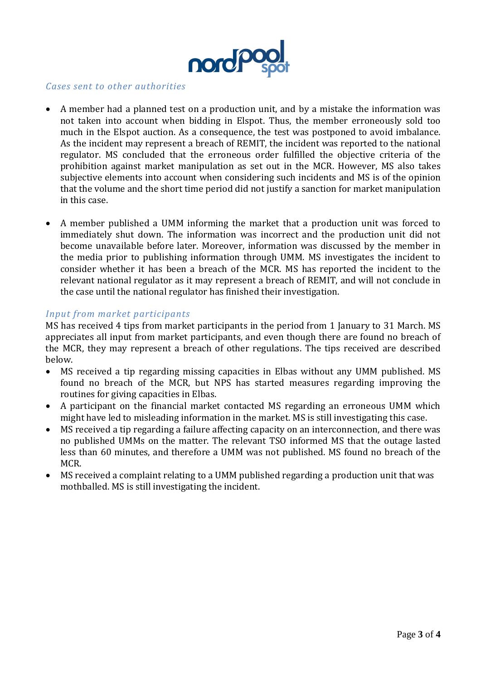

### *Cases sent to other authorities*

- A member had a planned test on a production unit, and by a mistake the information was not taken into account when bidding in Elspot. Thus, the member erroneously sold too much in the Elspot auction. As a consequence, the test was postponed to avoid imbalance. As the incident may represent a breach of REMIT, the incident was reported to the national regulator. MS concluded that the erroneous order fulfilled the objective criteria of the prohibition against market manipulation as set out in the MCR. However, MS also takes subjective elements into account when considering such incidents and MS is of the opinion that the volume and the short time period did not justify a sanction for market manipulation in this case.
- A member published a UMM informing the market that a production unit was forced to immediately shut down. The information was incorrect and the production unit did not become unavailable before later. Moreover, information was discussed by the member in the media prior to publishing information through UMM. MS investigates the incident to consider whether it has been a breach of the MCR. MS has reported the incident to the relevant national regulator as it may represent a breach of REMIT, and will not conclude in the case until the national regulator has finished their investigation.

### *Input from market participants*

MS has received 4 tips from market participants in the period from 1 January to 31 March. MS appreciates all input from market participants, and even though there are found no breach of the MCR, they may represent a breach of other regulations. The tips received are described below.

- MS received a tip regarding missing capacities in Elbas without any UMM published. MS found no breach of the MCR, but NPS has started measures regarding improving the routines for giving capacities in Elbas.
- A participant on the financial market contacted MS regarding an erroneous UMM which might have led to misleading information in the market. MS is still investigating this case.
- MS received a tip regarding a failure affecting capacity on an interconnection, and there was no published UMMs on the matter. The relevant TSO informed MS that the outage lasted less than 60 minutes, and therefore a UMM was not published. MS found no breach of the MCR.
- MS received a complaint relating to a UMM published regarding a production unit that was mothballed. MS is still investigating the incident.